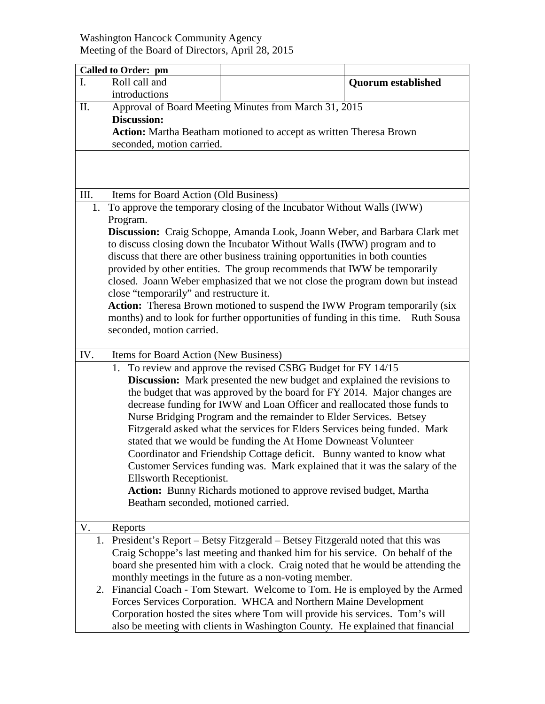## Washington Hancock Community Agency Meeting of the Board of Directors, April 28, 2015

| <b>Called to Order: pm</b>                                                       |                                                                                |                                                                                             |  |  |  |
|----------------------------------------------------------------------------------|--------------------------------------------------------------------------------|---------------------------------------------------------------------------------------------|--|--|--|
| Roll call and<br>$\mathbf{I}$ .                                                  |                                                                                | <b>Quorum established</b>                                                                   |  |  |  |
| introductions                                                                    |                                                                                |                                                                                             |  |  |  |
| П.                                                                               | Approval of Board Meeting Minutes from March 31, 2015                          |                                                                                             |  |  |  |
| <b>Discussion:</b>                                                               |                                                                                |                                                                                             |  |  |  |
|                                                                                  | Action: Martha Beatham motioned to accept as written Theresa Brown             |                                                                                             |  |  |  |
| seconded, motion carried.                                                        |                                                                                |                                                                                             |  |  |  |
|                                                                                  |                                                                                |                                                                                             |  |  |  |
|                                                                                  |                                                                                |                                                                                             |  |  |  |
|                                                                                  |                                                                                |                                                                                             |  |  |  |
| III.                                                                             | Items for Board Action (Old Business)                                          |                                                                                             |  |  |  |
| To approve the temporary closing of the Incubator Without Walls (IWW)<br>1.      |                                                                                |                                                                                             |  |  |  |
| Program.                                                                         |                                                                                |                                                                                             |  |  |  |
|                                                                                  | Discussion: Craig Schoppe, Amanda Look, Joann Weber, and Barbara Clark met     |                                                                                             |  |  |  |
|                                                                                  |                                                                                | to discuss closing down the Incubator Without Walls (IWW) program and to                    |  |  |  |
|                                                                                  |                                                                                | discuss that there are other business training opportunities in both counties               |  |  |  |
| provided by other entities. The group recommends that IWW be temporarily         |                                                                                |                                                                                             |  |  |  |
| closed. Joann Weber emphasized that we not close the program down but instead    |                                                                                |                                                                                             |  |  |  |
| close "temporarily" and restructure it.                                          |                                                                                |                                                                                             |  |  |  |
| Action: Theresa Brown motioned to suspend the IWW Program temporarily (six       |                                                                                |                                                                                             |  |  |  |
|                                                                                  |                                                                                | months) and to look for further opportunities of funding in this time.<br><b>Ruth Sousa</b> |  |  |  |
|                                                                                  | seconded, motion carried.                                                      |                                                                                             |  |  |  |
|                                                                                  |                                                                                |                                                                                             |  |  |  |
| IV.                                                                              | Items for Board Action (New Business)                                          |                                                                                             |  |  |  |
|                                                                                  |                                                                                | 1. To review and approve the revised CSBG Budget for FY 14/15                               |  |  |  |
|                                                                                  |                                                                                | <b>Discussion:</b> Mark presented the new budget and explained the revisions to             |  |  |  |
|                                                                                  |                                                                                | the budget that was approved by the board for FY 2014. Major changes are                    |  |  |  |
|                                                                                  |                                                                                | decrease funding for IWW and Loan Officer and reallocated those funds to                    |  |  |  |
|                                                                                  | Nurse Bridging Program and the remainder to Elder Services. Betsey             |                                                                                             |  |  |  |
|                                                                                  | Fitzgerald asked what the services for Elders Services being funded. Mark      |                                                                                             |  |  |  |
| stated that we would be funding the At Home Downeast Volunteer                   |                                                                                |                                                                                             |  |  |  |
| Coordinator and Friendship Cottage deficit. Bunny wanted to know what            |                                                                                |                                                                                             |  |  |  |
| Customer Services funding was. Mark explained that it was the salary of the      |                                                                                |                                                                                             |  |  |  |
| Ellsworth Receptionist.                                                          |                                                                                |                                                                                             |  |  |  |
| Action: Bunny Richards motioned to approve revised budget, Martha                |                                                                                |                                                                                             |  |  |  |
|                                                                                  | Beatham seconded, motioned carried.                                            |                                                                                             |  |  |  |
|                                                                                  |                                                                                |                                                                                             |  |  |  |
| V.<br>Reports                                                                    |                                                                                |                                                                                             |  |  |  |
|                                                                                  |                                                                                | 1. President's Report – Betsy Fitzgerald – Betsey Fitzgerald noted that this was            |  |  |  |
| Craig Schoppe's last meeting and thanked him for his service. On behalf of the   |                                                                                |                                                                                             |  |  |  |
| board she presented him with a clock. Craig noted that he would be attending the |                                                                                |                                                                                             |  |  |  |
| monthly meetings in the future as a non-voting member.                           |                                                                                |                                                                                             |  |  |  |
| 2.                                                                               |                                                                                | Financial Coach - Tom Stewart. Welcome to Tom. He is employed by the Armed                  |  |  |  |
|                                                                                  |                                                                                | Forces Services Corporation. WHCA and Northern Maine Development                            |  |  |  |
|                                                                                  |                                                                                | Corporation hosted the sites where Tom will provide his services. Tom's will                |  |  |  |
|                                                                                  | also be meeting with clients in Washington County. He explained that financial |                                                                                             |  |  |  |
|                                                                                  |                                                                                |                                                                                             |  |  |  |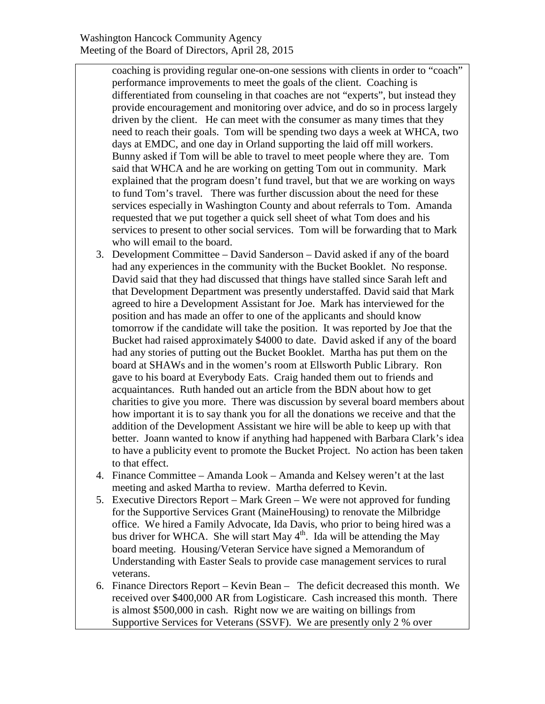coaching is providing regular one-on-one sessions with clients in order to "coach" performance improvements to meet the goals of the client. Coaching is differentiated from counseling in that coaches are not "experts", but instead they provide encouragement and monitoring over advice, and do so in process largely driven by the client. He can meet with the consumer as many times that they need to reach their goals. Tom will be spending two days a week at WHCA, two days at EMDC, and one day in Orland supporting the laid off mill workers. Bunny asked if Tom will be able to travel to meet people where they are. Tom said that WHCA and he are working on getting Tom out in community. Mark explained that the program doesn't fund travel, but that we are working on ways to fund Tom's travel. There was further discussion about the need for these services especially in Washington County and about referrals to Tom. Amanda requested that we put together a quick sell sheet of what Tom does and his services to present to other social services. Tom will be forwarding that to Mark who will email to the board.

- 3. Development Committee David Sanderson David asked if any of the board had any experiences in the community with the Bucket Booklet. No response. David said that they had discussed that things have stalled since Sarah left and that Development Department was presently understaffed. David said that Mark agreed to hire a Development Assistant for Joe. Mark has interviewed for the position and has made an offer to one of the applicants and should know tomorrow if the candidate will take the position. It was reported by Joe that the Bucket had raised approximately \$4000 to date. David asked if any of the board had any stories of putting out the Bucket Booklet. Martha has put them on the board at SHAWs and in the women's room at Ellsworth Public Library. Ron gave to his board at Everybody Eats. Craig handed them out to friends and acquaintances. Ruth handed out an article from the BDN about how to get charities to give you more. There was discussion by several board members about how important it is to say thank you for all the donations we receive and that the addition of the Development Assistant we hire will be able to keep up with that better. Joann wanted to know if anything had happened with Barbara Clark's idea to have a publicity event to promote the Bucket Project. No action has been taken to that effect.
- 4. Finance Committee Amanda Look Amanda and Kelsey weren't at the last meeting and asked Martha to review. Martha deferred to Kevin.
- 5. Executive Directors Report Mark Green We were not approved for funding for the Supportive Services Grant (MaineHousing) to renovate the Milbridge office. We hired a Family Advocate, Ida Davis, who prior to being hired was a bus driver for WHCA. She will start May  $4<sup>th</sup>$ . Ida will be attending the May board meeting. Housing/Veteran Service have signed a Memorandum of Understanding with Easter Seals to provide case management services to rural veterans.
- 6. Finance Directors Report Kevin Bean The deficit decreased this month. We received over \$400,000 AR from Logisticare. Cash increased this month. There is almost \$500,000 in cash. Right now we are waiting on billings from Supportive Services for Veterans (SSVF). We are presently only 2 % over